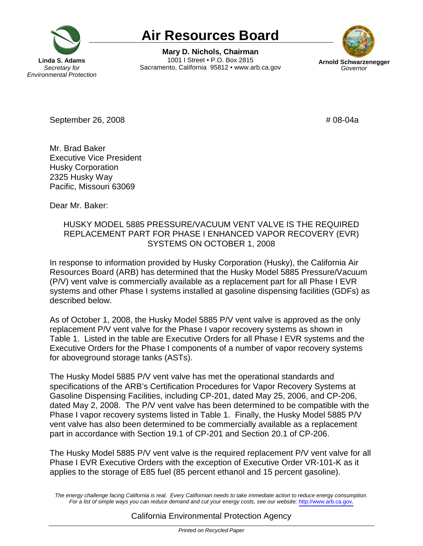

# **Air Resources Board**

1001 | Street . P.O. Box 2815 **Linda S. Adams 1001 I Street • P.O. Box 2815 Arnold Schwarzenegger Secretary for Sacramento, California 95812 • www.arb.ca.gov Governor** *Governor* **Mary D. Nichols, Chairman** 



September 26, 2008 # 08-04a

 Mr. Brad Baker Executive Vice President 2325 Husky Way Pacific, Missouri 63069 Husky Corporation

Dear Mr. Baker:

## HUSKY MODEL 5885 PRESSURE/VACUUM VENT VALVE IS THE REQUIRED REPLACEMENT PART FOR PHASE I ENHANCED VAPOR RECOVERY (EVR) SYSTEMS ON OCTOBER 1, 2008

 In response to information provided by Husky Corporation (Husky), the California Air Resources Board (ARB) has determined that the Husky Model 5885 Pressure/Vacuum (P/V) vent valve is commercially available as a replacement part for all Phase I EVR systems and other Phase I systems installed at gasoline dispensing facilities (GDFs) as described below.

 As of October 1, 2008, the Husky Model 5885 P/V vent valve is approved as the only replacement P/V vent valve for the Phase I vapor recovery systems as shown in Table 1. Listed in the table are Executive Orders for all Phase I EVR systems and the Executive Orders for the Phase I components of a number of vapor recovery systems for aboveground storage tanks (ASTs).

 The Husky Model 5885 P/V vent valve has met the operational standards and specifications of the ARB's Certification Procedures for Vapor Recovery Systems at Gasoline Dispensing Facilities, including CP-201, dated May 25, 2006, and CP-206, dated May 2, 2008. The P/V vent valve has been determined to be compatible with the Phase I vapor recovery systems listed in Table 1. Finally, the Husky Model 5885 P/V vent valve has also been determined to be commercially available as a replacement part in accordance with Section 19.1 of CP-201 and Section 20.1 of CP-206.

 The Husky Model 5885 P/V vent valve is the required replacement P/V vent valve for all Phase I EVR Executive Orders with the exception of Executive Order VR-101-K as it applies to the storage of E85 fuel (85 percent ethanol and 15 percent gasoline).

 The energy challenge facing California is real. Every Californian needs to take immediate action to reduce energy consumption. For a list of simple ways you can reduce demand and cut your energy costs, see our website: <http://www.arb.ca.gov>.

## California Environmental Protection Agency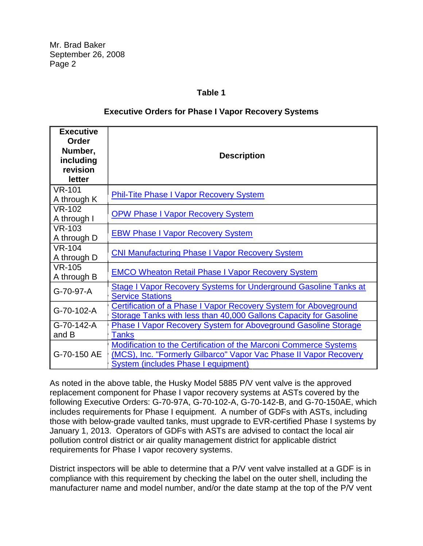Mr. Brad Baker September 26, 2008 Page 2

### **Table 1**

#### **Executive Orders for Phase I Vapor Recovery Systems**

| <b>Executive</b><br>Order<br>Number,<br>including<br>revision<br>letter | <b>Description</b>                                                                                                                                                            |
|-------------------------------------------------------------------------|-------------------------------------------------------------------------------------------------------------------------------------------------------------------------------|
| <b>VR-101</b><br>A through K                                            | <b>Phil-Tite Phase I Vapor Recovery System</b>                                                                                                                                |
| $VR-102$<br>A through I                                                 | <b>OPW Phase I Vapor Recovery System</b>                                                                                                                                      |
| <b>VR-103</b><br>A through D                                            | <b>EBW Phase I Vapor Recovery System</b>                                                                                                                                      |
| <b>VR-104</b><br>A through D                                            | <b>CNI Manufacturing Phase I Vapor Recovery System</b>                                                                                                                        |
| <b>VR-105</b><br>A through B                                            | <b>EMCO Wheaton Retail Phase I Vapor Recovery System</b>                                                                                                                      |
| G-70-97-A                                                               | <b>Stage I Vapor Recovery Systems for Underground Gasoline Tanks at</b><br><b>Service Stations</b>                                                                            |
| G-70-102-A                                                              | Certification of a Phase I Vapor Recovery System for Aboveground<br>Storage Tanks with less than 40,000 Gallons Capacity for Gasoline                                         |
| G-70-142-A<br>and B                                                     | <b>Phase I Vapor Recovery System for Aboveground Gasoline Storage</b><br><b>Tanks</b>                                                                                         |
| G-70-150 AE                                                             | Modification to the Certification of the Marconi Commerce Systems<br>(MCS), Inc. "Formerly Gilbarco" Vapor Vac Phase II Vapor Recovery<br>System (includes Phase I equipment) |

 As noted in the above table, the Husky Model 5885 P/V vent valve is the approved replacement component for Phase I vapor recovery systems at ASTs covered by the following Executive Orders: G-70-97A, G-70-102-A, G-70-142-B, and G-70-150AE, which includes requirements for Phase I equipment. A number of GDFs with ASTs, including those with below-grade vaulted tanks, must upgrade to EVR-certified Phase I systems by January 1, 2013. Operators of GDFs with ASTs are advised to contact the local air pollution control district or air quality management district for applicable district requirements for Phase I vapor recovery systems.

 District inspectors will be able to determine that a P/V vent valve installed at a GDF is in compliance with this requirement by checking the label on the outer shell, including the manufacturer name and model number, and/or the date stamp at the top of the P/V vent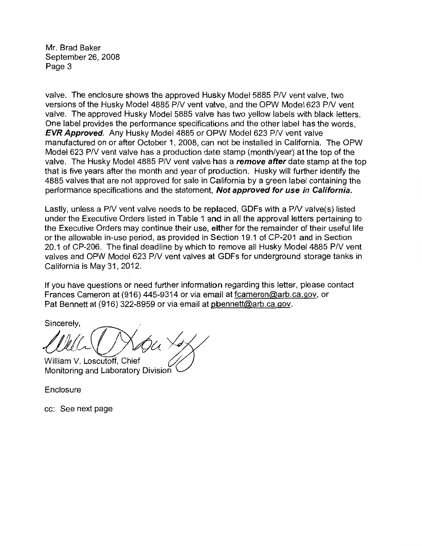Mr. Brad Baker September 26, 2008 Page 3

valve. The enclosure shows the approved Husky Model 5885 P/V vent valve, two versions of the Husky Model 4885 P/V vent valve, and the OPW Model 623 P/V vent valve. The approved Husky Model 5885 valve has two yellow labels with black letters. One label provides the performance specifications and the other label has the words, **EVR Approved.** Any Husky Model 4885 or OPW Model 623 P/V vent valve manufactured on or after October 1, 2008, can not be installed in California. The OPW Model 623 P/V vent valve has a production date stamp (month/year) at the top of the valve. The Husky Model 4885 P/V vent valve has a **remove after** date stamp at the top that is five years after the month and year of production. Husky will further identify the 4885 valves that are not approved for sale in California by a green label containing the performance specifications and the statement, **Not approved for use** *in* **California.** 

Lastly, unless a PN vent valve needs to be replaced, GDFs with a PN valve(s) listed under the Executive Orders listed in Table 1 and in all the approval letters pertaining to the Executive Orders may continue their use, either for the remainder of their useful life or the allowable in-use period, as provided in Section 19.1 of CP-201 and in Section 20.1 of CP-206. The final deadline by which to remove all Husky Model 4885 P/V vent valves and OPW Model 623 PN vent valves at GDFs for underground storage tanks in California is May 31, 2012.

If you have questions or need further information regarding this letter, please contact Frances Cameron at (916) 445-9314 or via email at [fcameron@arb.ca.gov,](mailto:fcameron@arb.ca.gov) or Pat Bennett at (916) 322-8959 or via email at [pbennett@arb.ca.gov](mailto:pbennett@arb.ca.gov).

Sincerely.

William V. Loscutoff, Chief Monitoring and Laboratory Division

Enclosure

cc: See next page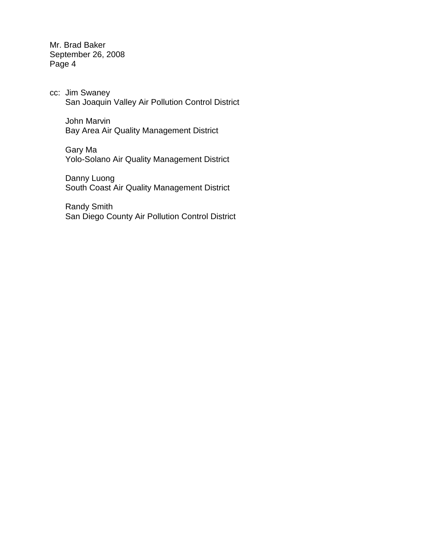Mr. Brad Baker September 26, 2008 Page 4

 cc: Jim Swaney San Joaquin Valley Air Pollution Control District

John Marvin Bay Area Air Quality Management District

 Yolo-Solano Air Quality Management District Gary Ma

Danny Luong South Coast Air Quality Management District

Randy Smith San Diego County Air Pollution Control District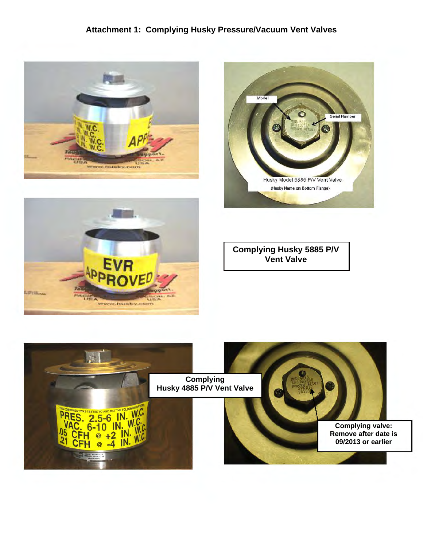## **Attachment 1: Complying Husky Pressure/Vacuum Vent Valves**







**Complying Husky 5885 P/V Vent Valve**